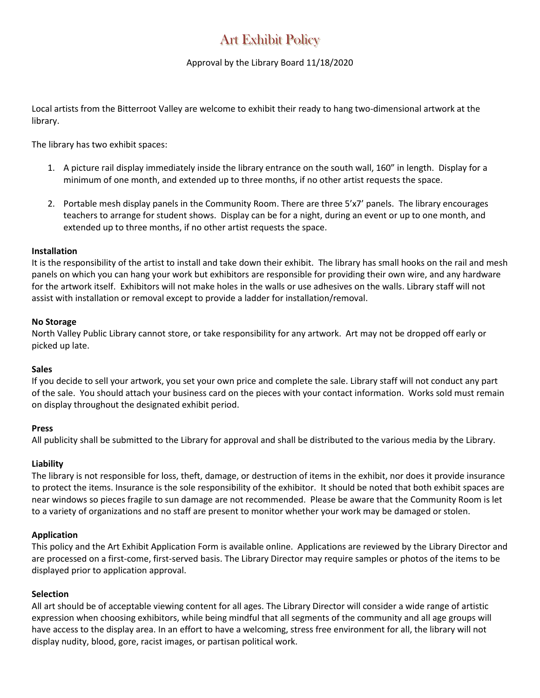# Art Exhibit Policy

### Approval by the Library Board 11/18/2020

Local artists from the Bitterroot Valley are welcome to exhibit their ready to hang two-dimensional artwork at the library.

The library has two exhibit spaces:

- 1. A picture rail display immediately inside the library entrance on the south wall, 160" in length. Display for a minimum of one month, and extended up to three months, if no other artist requests the space.
- 2. Portable mesh display panels in the Community Room. There are three 5'x7' panels. The library encourages teachers to arrange for student shows. Display can be for a night, during an event or up to one month, and extended up to three months, if no other artist requests the space.

#### **Installation**

It is the responsibility of the artist to install and take down their exhibit. The library has small hooks on the rail and mesh panels on which you can hang your work but exhibitors are responsible for providing their own wire, and any hardware for the artwork itself. Exhibitors will not make holes in the walls or use adhesives on the walls. Library staff will not assist with installation or removal except to provide a ladder for installation/removal.

#### **No Storage**

North Valley Public Library cannot store, or take responsibility for any artwork. Art may not be dropped off early or picked up late.

#### **Sales**

If you decide to sell your artwork, you set your own price and complete the sale. Library staff will not conduct any part of the sale. You should attach your business card on the pieces with your contact information. Works sold must remain on display throughout the designated exhibit period.

#### **Press**

All publicity shall be submitted to the Library for approval and shall be distributed to the various media by the Library.

#### **Liability**

The library is not responsible for loss, theft, damage, or destruction of items in the exhibit, nor does it provide insurance to protect the items. Insurance is the sole responsibility of the exhibitor. It should be noted that both exhibit spaces are near windows so pieces fragile to sun damage are not recommended. Please be aware that the Community Room is let to a variety of organizations and no staff are present to monitor whether your work may be damaged or stolen.

#### **Application**

This policy and the Art Exhibit Application Form is available online. Applications are reviewed by the Library Director and are processed on a first-come, first-served basis. The Library Director may require samples or photos of the items to be displayed prior to application approval.

#### **Selection**

All art should be of acceptable viewing content for all ages. The Library Director will consider a wide range of artistic expression when choosing exhibitors, while being mindful that all segments of the community and all age groups will have access to the display area. In an effort to have a welcoming, stress free environment for all, the library will not display nudity, blood, gore, racist images, or partisan political work.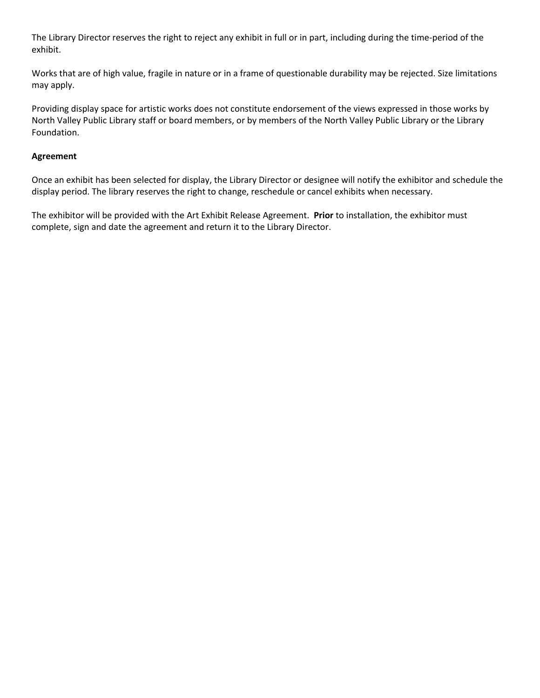The Library Director reserves the right to reject any exhibit in full or in part, including during the time-period of the exhibit.

Works that are of high value, fragile in nature or in a frame of questionable durability may be rejected. Size limitations may apply.

Providing display space for artistic works does not constitute endorsement of the views expressed in those works by North Valley Public Library staff or board members, or by members of the North Valley Public Library or the Library Foundation.

#### **Agreement**

Once an exhibit has been selected for display, the Library Director or designee will notify the exhibitor and schedule the display period. The library reserves the right to change, reschedule or cancel exhibits when necessary.

The exhibitor will be provided with the Art Exhibit Release Agreement. **Prior** to installation, the exhibitor must complete, sign and date the agreement and return it to the Library Director.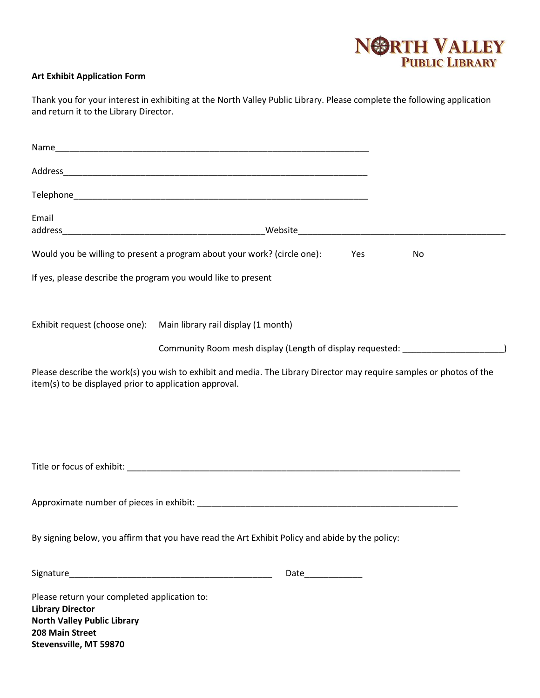# NORTH VALLEY

## **Art Exhibit Application Form**

| Thank you for your interest in exhibiting at the North Valley Public Library. Please complete the following application |
|-------------------------------------------------------------------------------------------------------------------------|
| and return it to the Library Director.                                                                                  |

| Email                                                         |                                                                                                                      |     |    |  |
|---------------------------------------------------------------|----------------------------------------------------------------------------------------------------------------------|-----|----|--|
|                                                               | Would you be willing to present a program about your work? (circle one):                                             | Yes | No |  |
| If yes, please describe the program you would like to present |                                                                                                                      |     |    |  |
| Exhibit request (choose one):                                 | Main library rail display (1 month)                                                                                  |     |    |  |
|                                                               | Community Room mesh display (Length of display requested: ______________________                                     |     |    |  |
| item(s) to be displayed prior to application approval.        | Please describe the work(s) you wish to exhibit and media. The Library Director may require samples or photos of the |     |    |  |
|                                                               |                                                                                                                      |     |    |  |
|                                                               |                                                                                                                      |     |    |  |
|                                                               |                                                                                                                      |     |    |  |
|                                                               | Approximate number of pieces in exhibit: National Contract of the Contract of the Contract of the Contract of        |     |    |  |
|                                                               | By signing below, you affirm that you have read the Art Exhibit Policy and abide by the policy:                      |     |    |  |
|                                                               |                                                                                                                      |     |    |  |
| Please return your completed application to:                  |                                                                                                                      |     |    |  |
| <b>Library Director</b><br><b>North Valley Public Library</b> |                                                                                                                      |     |    |  |
| 208 Main Street<br>Stevensville, MT 59870                     |                                                                                                                      |     |    |  |